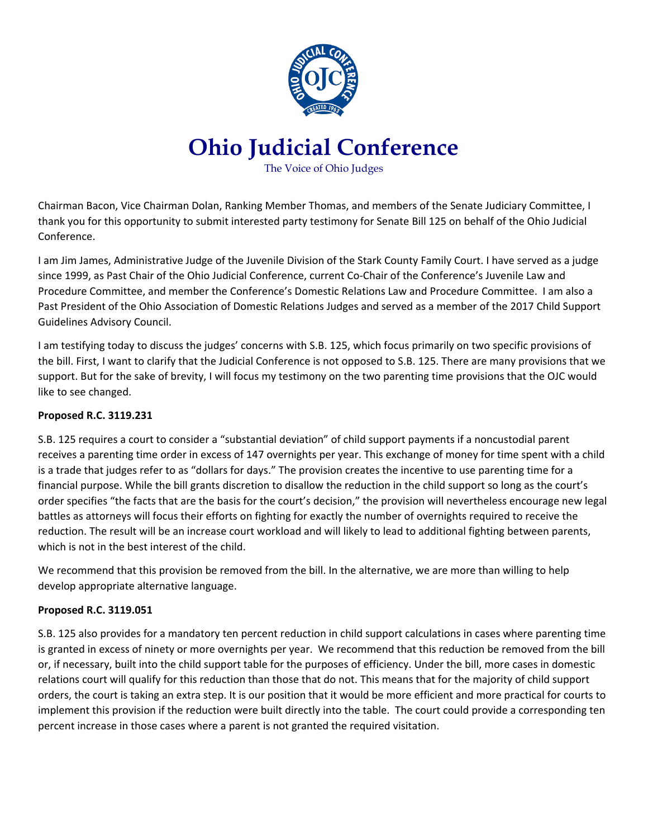

## **Ohio Judicial Conference**

The Voice of Ohio Judges

Chairman Bacon, Vice Chairman Dolan, Ranking Member Thomas, and members of the Senate Judiciary Committee, I thank you for this opportunity to submit interested party testimony for Senate Bill 125 on behalf of the Ohio Judicial Conference.

I am Jim James, Administrative Judge of the Juvenile Division of the Stark County Family Court. I have served as a judge since 1999, as Past Chair of the Ohio Judicial Conference, current Co-Chair of the Conference's Juvenile Law and Procedure Committee, and member the Conference's Domestic Relations Law and Procedure Committee. I am also a Past President of the Ohio Association of Domestic Relations Judges and served as a member of the 2017 Child Support Guidelines Advisory Council.

I am testifying today to discuss the judges' concerns with S.B. 125, which focus primarily on two specific provisions of the bill. First, I want to clarify that the Judicial Conference is not opposed to S.B. 125. There are many provisions that we support. But for the sake of brevity, I will focus my testimony on the two parenting time provisions that the OJC would like to see changed.

## **Proposed R.C. 3119.231**

S.B. 125 requires a court to consider a "substantial deviation" of child support payments if a noncustodial parent receives a parenting time order in excess of 147 overnights per year. This exchange of money for time spent with a child is a trade that judges refer to as "dollars for days." The provision creates the incentive to use parenting time for a financial purpose. While the bill grants discretion to disallow the reduction in the child support so long as the court's order specifies "the facts that are the basis for the court's decision," the provision will nevertheless encourage new legal battles as attorneys will focus their efforts on fighting for exactly the number of overnights required to receive the reduction. The result will be an increase court workload and will likely to lead to additional fighting between parents, which is not in the best interest of the child.

We recommend that this provision be removed from the bill. In the alternative, we are more than willing to help develop appropriate alternative language.

## **Proposed R.C. 3119.051**

S.B. 125 also provides for a mandatory ten percent reduction in child support calculations in cases where parenting time is granted in excess of ninety or more overnights per year. We recommend that this reduction be removed from the bill or, if necessary, built into the child support table for the purposes of efficiency. Under the bill, more cases in domestic relations court will qualify for this reduction than those that do not. This means that for the majority of child support orders, the court is taking an extra step. It is our position that it would be more efficient and more practical for courts to implement this provision if the reduction were built directly into the table. The court could provide a corresponding ten percent increase in those cases where a parent is not granted the required visitation.